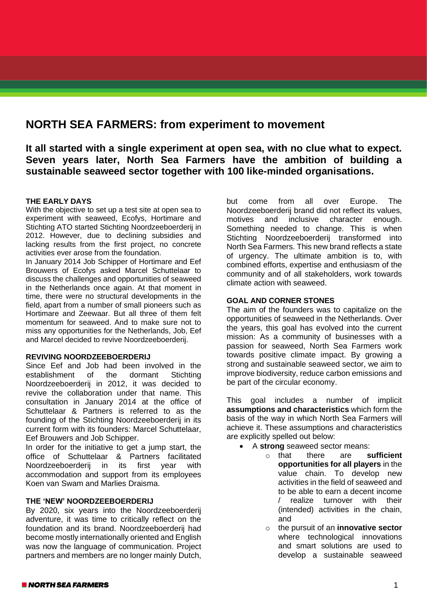# **NORTH SEA FARMERS: from experiment to movement**

**It all started with a single experiment at open sea, with no clue what to expect. Seven years later, North Sea Farmers have the ambition of building a sustainable seaweed sector together with 100 like-minded organisations.**

### **THE EARLY DAYS**

With the objective to set up a test site at open sea to experiment with seaweed, Ecofys, Hortimare and Stichting ATO started Stichting Noordzeeboerderij in 2012. However, due to declining subsidies and lacking results from the first project, no concrete activities ever arose from the foundation.

In January 2014 Job Schipper of Hortimare and Eef Brouwers of Ecofys asked Marcel Schuttelaar to discuss the challenges and opportunities of seaweed in the Netherlands once again. At that moment in time, there were no structural developments in the field, apart from a number of small pioneers such as Hortimare and Zeewaar. But all three of them felt momentum for seaweed. And to make sure not to miss any opportunities for the Netherlands, Job, Eef and Marcel decided to revive Noordzeeboerderij.

## **REVIVING NOORDZEEBOERDERIJ**

Since Eef and Job had been involved in the establishment of the dormant Stichting Noordzeeboerderij in 2012, it was decided to revive the collaboration under that name. This consultation in January 2014 at the office of Schuttelaar & Partners is referred to as the founding of the Stichting Noordzeeboerderij in its current form with its founders: Marcel Schuttelaar, Eef Brouwers and Job Schipper.

In order for the initiative to get a jump start, the office of Schuttelaar & Partners facilitated Noordzeeboerderij in its first year with accommodation and support from its employees Koen van Swam and Marlies Draisma.

#### **THE 'NEW' NOORDZEEBOERDERIJ**

By 2020, six years into the Noordzeeboerderij adventure, it was time to critically reflect on the foundation and its brand. Noordzeeboerderij had become mostly internationally oriented and English was now the language of communication. Project partners and members are no longer mainly Dutch,

but come from all over Europe. The Noordzeeboerderij brand did not reflect its values, motives and inclusive character enough. Something needed to change. This is when Stichting Noordzeeboerderij transformed into North Sea Farmers. This new brand reflects a state of urgency. The ultimate ambition is to, with combined efforts, expertise and enthusiasm of the community and of all stakeholders, work towards climate action with seaweed.

#### **GOAL AND CORNER STONES**

The aim of the founders was to capitalize on the opportunities of seaweed in the Netherlands. Over the years, this goal has evolved into the current mission: As a community of businesses with a passion for seaweed, North Sea Farmers work towards positive climate impact. By growing a strong and sustainable seaweed sector, we aim to improve biodiversity, reduce carbon emissions and be part of the circular economy.

This goal includes a number of implicit **assumptions and characteristics** which form the basis of the way in which North Sea Farmers will achieve it. These assumptions and characteristics are explicitly spelled out below:

- A **strong** seaweed sector means:
	- o that there are **sufficient opportunities for all players** in the value chain. To develop new activities in the field of seaweed and to be able to earn a decent income / realize turnover with their (intended) activities in the chain, and
	- o the pursuit of an **innovative sector** where technological innovations and smart solutions are used to develop a sustainable seaweed